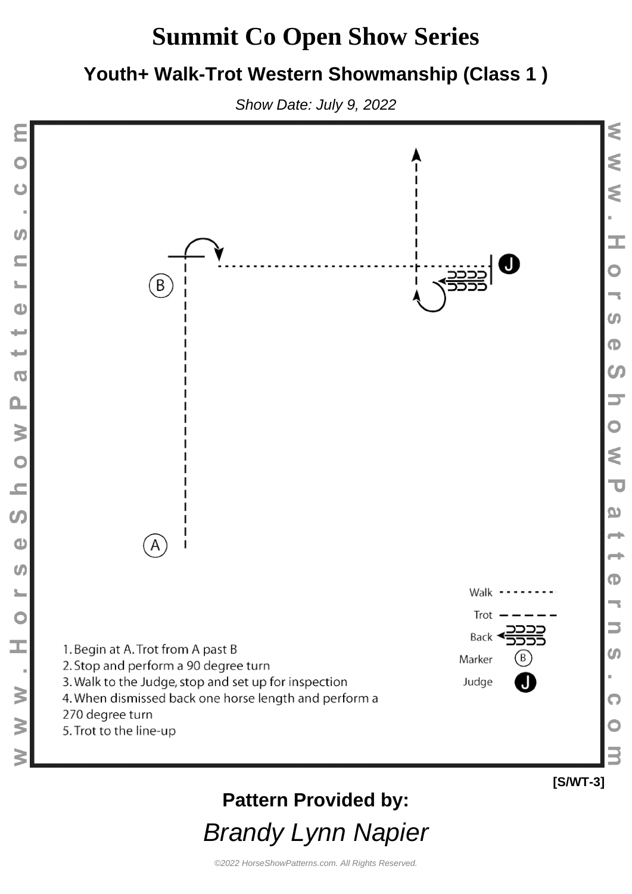#### **Youth+ Walk-Trot Western Showmanship (Class 1 )**

Show Date: July 9, 2022

Ċ

 $\boldsymbol{G}$ 

 $\subseteq$ 

 $\frac{1}{2}$ 

 $\bullet$ 

 $\overline{\phantom{a}}$ 

 $\overline{\phantom{0}}$ 

 $\overline{\mathbf{o}}$ 

 $\mathbf{a}$ 

N O N

 $\boldsymbol{\omega}$ 

 $\bullet$ 

 $\boldsymbol{\theta}$ 

 $\frac{1}{2}$ 

 $\bullet$ 

I.

 $\geq$ 

 $\geq$ 

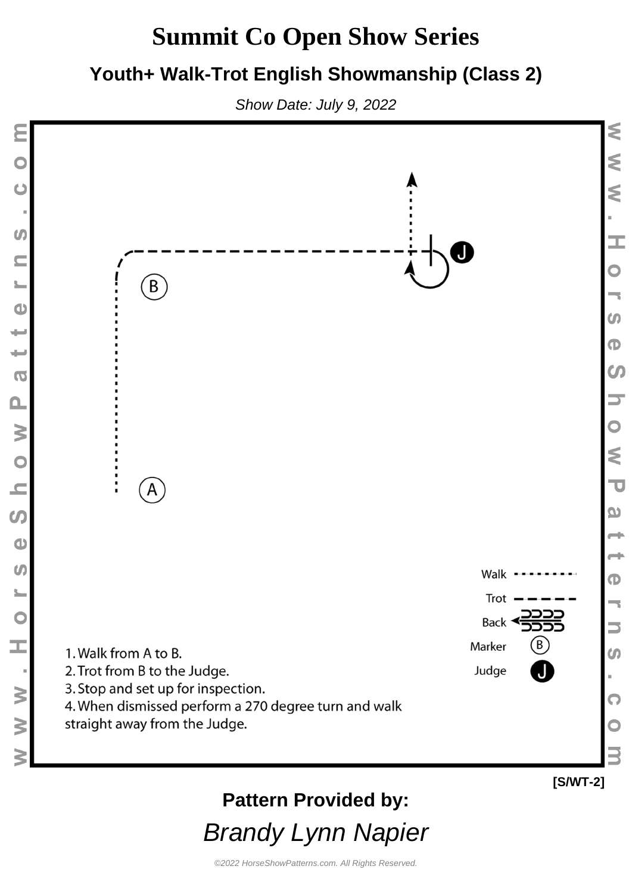#### **Youth+ Walk-Trot English Showmanship (Class 2)**

Show Date: July 9, 2022



Brandy Lynn Napier

©2022 HorseShowPatterns.com. All Rights Reserved.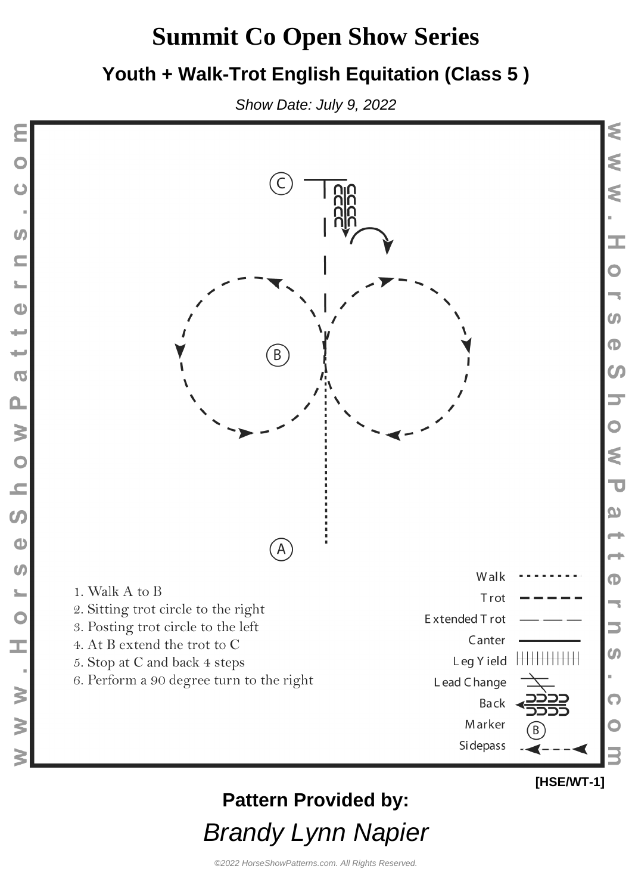#### **Youth + Walk-Trot English Equitation (Class 5 )**

Show Date: July 9, 2022



# **Pattern Provided by:**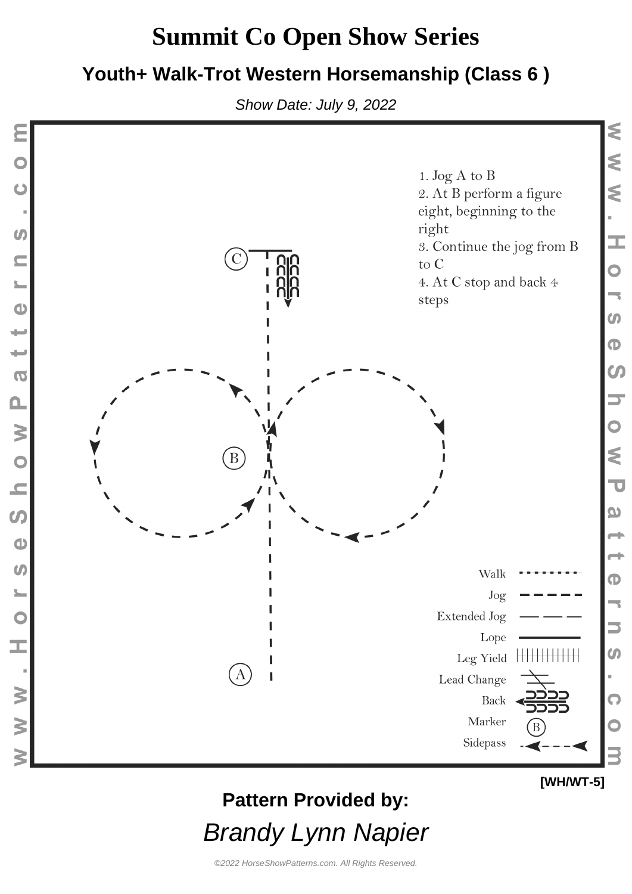#### **Youth+ Walk-Trot Western Horsemanship (Class 6 )**

Show Date: July 9, 2022



### **Pattern Provided by:**

Brandy Lynn Napier

**[WH/WT-5]**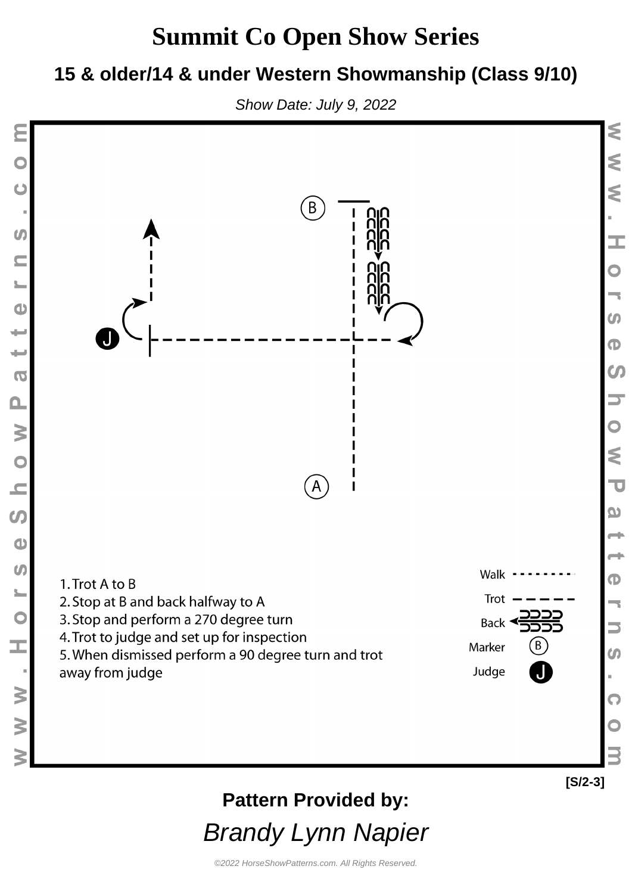#### **15 & older/14 & under Western Showmanship (Class 9/10)**



 $\mathbf C$ 

 $\boldsymbol{G}$ 

 $\subseteq$ 

 $\bullet$ 

 $\overline{\phantom{0}}$ 

 $\overline{\phantom{0}}$ 

 $\overline{\mathbf{C}}$ 

 $\mathbf{\Omega}$ 

W O N

 $\overline{0}$ 

 $\bullet$ 

 $\omega$ 

 $\begin{bmatrix} 1 \\ 0 \end{bmatrix}$ 

Ì.

 $\geq$ 

 $\geq$ 



**Pattern Provided by:**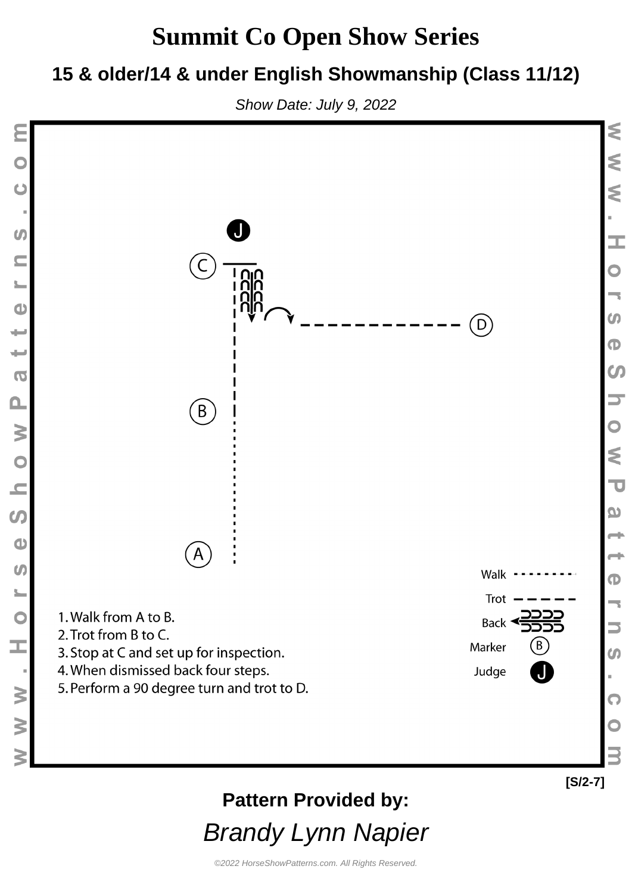#### **15 & older/14 & under English Showmanship (Class 11/12)**

Show Date: July 9, 2022



### **Pattern Provided by:**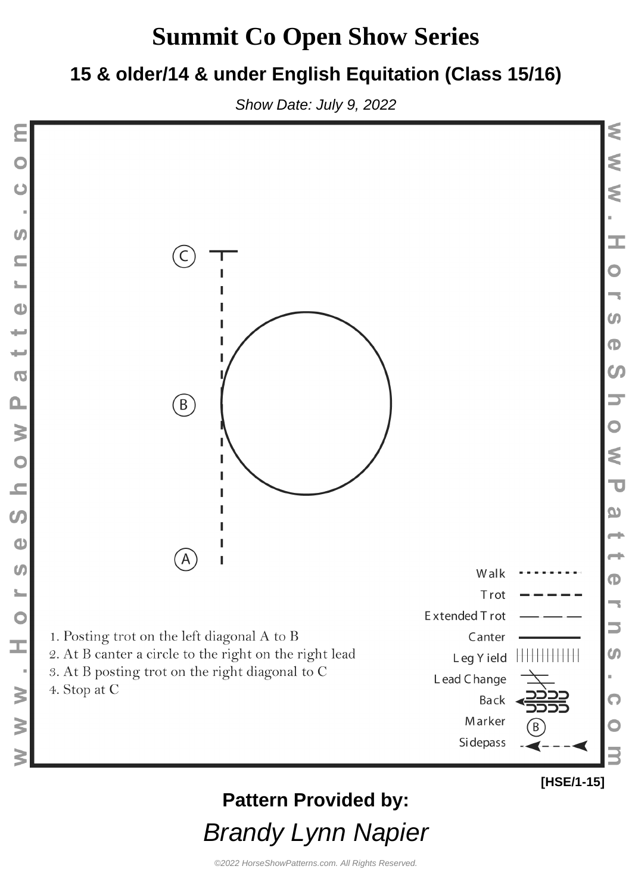#### **15 & older/14 & under English Equitation (Class 15/16)**

Show Date: July 9, 2022



### **Pattern Provided by:**

**[HSE/1-15]**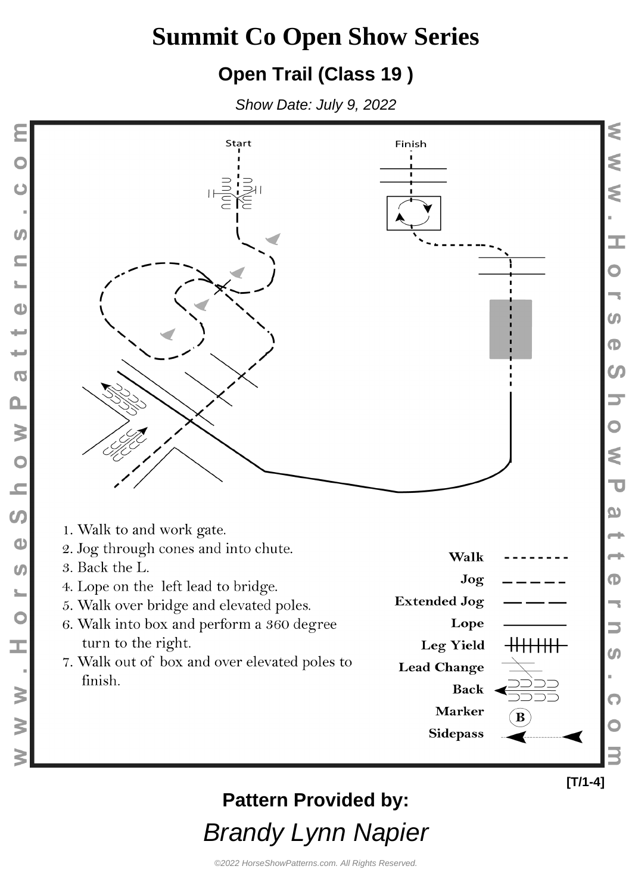#### **Open Trail (Class 19 )**

Show Date: July 9, 2022



### **Pattern Provided by:**

Brandy Lynn Napier

**[T/1-4]**